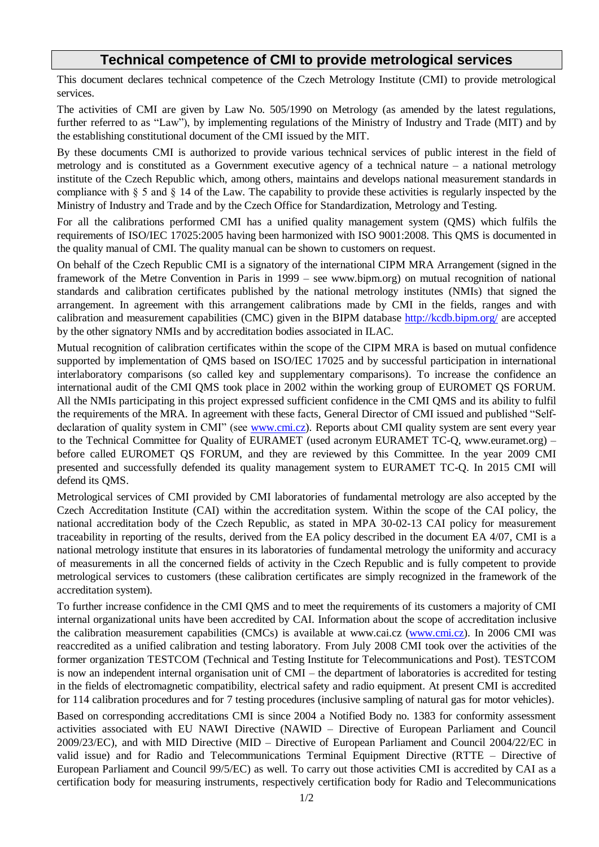## **Technical competence of CMI to provide metrological services**

This document declares technical competence of the Czech Metrology Institute (CMI) to provide metrological services.

The activities of CMI are given by Law No. 505/1990 on Metrology (as amended by the latest regulations, further referred to as "Law"), by implementing regulations of the Ministry of Industry and Trade (MIT) and by the establishing constitutional document of the CMI issued by the MIT.

By these documents CMI is authorized to provide various technical services of public interest in the field of metrology and is constituted as a Government executive agency of a technical nature – a national metrology institute of the Czech Republic which, among others, maintains and develops national measurement standards in compliance with § 5 and § 14 of the Law. The capability to provide these activities is regularly inspected by the Ministry of Industry and Trade and by the Czech Office for Standardization, Metrology and Testing.

For all the calibrations performed CMI has a unified quality management system (QMS) which fulfils the requirements of ISO/IEC 17025:2005 having been harmonized with ISO 9001:2008. This QMS is documented in the quality manual of CMI. The quality manual can be shown to customers on request.

On behalf of the Czech Republic CMI is a signatory of the international CIPM MRA Arrangement (signed in the framework of the Metre Convention in Paris in 1999 – see www.bipm.org) on mutual recognition of national standards and calibration certificates published by the national metrology institutes (NMIs) that signed the arrangement. In agreement with this arrangement calibrations made by CMI in the fields, ranges and with calibration and measurement capabilities (CMC) given in the BIPM database<http://kcdb.bipm.org/> are accepted by the other signatory NMIs and by accreditation bodies associated in ILAC.

Mutual recognition of calibration certificates within the scope of the CIPM MRA is based on mutual confidence supported by implementation of QMS based on ISO/IEC 17025 and by successful participation in international interlaboratory comparisons (so called key and supplementary comparisons). To increase the confidence an international audit of the CMI QMS took place in 2002 within the working group of EUROMET QS FORUM. All the NMIs participating in this project expressed sufficient confidence in the CMI QMS and its ability to fulfil the requirements of the MRA. In agreement with these facts, General Director of CMI issued and published "Selfdeclaration of quality system in CMI" (see [www.cmi.cz\)](http://www.cmi.cz/). Reports about CMI quality system are sent every year to the Technical Committee for Quality of EURAMET (used acronym EURAMET TC-Q, www.euramet.org) – before called EUROMET QS FORUM, and they are reviewed by this Committee. In the year 2009 CMI presented and successfully defended its quality management system to EURAMET TC-Q. In 2015 CMI will defend its QMS.

Metrological services of CMI provided by CMI laboratories of fundamental metrology are also accepted by the Czech Accreditation Institute (CAI) within the accreditation system. Within the scope of the CAI policy, the national accreditation body of the Czech Republic, as stated in MPA 30-02-13 CAI policy for measurement traceability in reporting of the results, derived from the EA policy described in the document EA 4/07, CMI is a national metrology institute that ensures in its laboratories of fundamental metrology the uniformity and accuracy of measurements in all the concerned fields of activity in the Czech Republic and is fully competent to provide metrological services to customers (these calibration certificates are simply recognized in the framework of the accreditation system).

To further increase confidence in the CMI QMS and to meet the requirements of its customers a majority of CMI internal organizational units have been accredited by CAI. Information about the scope of accreditation inclusive the calibration measurement capabilities (CMCs) is available at www.cai.cz [\(www.cmi.cz\)](http://www.cmi.cz/). In 2006 CMI was reaccredited as a unified calibration and testing laboratory. From July 2008 CMI took over the activities of the former organization TESTCOM (Technical and Testing Institute for Telecommunications and Post). TESTCOM is now an independent internal organisation unit of CMI – the department of laboratories is accredited for testing in the fields of electromagnetic compatibility, electrical safety and radio equipment. At present CMI is accredited for 114 calibration procedures and for 7 testing procedures (inclusive sampling of natural gas for motor vehicles).

Based on corresponding accreditations CMI is since 2004 a Notified Body no. 1383 for conformity assessment activities associated with EU NAWI Directive (NAWID – Directive of European Parliament and Council 2009/23/EC), and with MID Directive (MID – Directive of European Parliament and Council 2004/22/EC in valid issue) and for Radio and Telecommunications Terminal Equipment Directive (RTTE – Directive of European Parliament and Council 99/5/EC) as well. To carry out those activities CMI is accredited by CAI as a certification body for measuring instruments, respectively certification body for Radio and Telecommunications